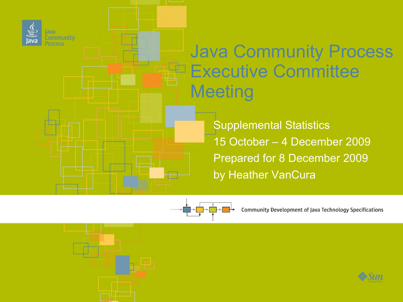

**Community** 

### Java Community Process **Executive Committee Meeting**

Supplemental Statistics 15 October – 4 December 2009 Prepared for 8 December 2009 by Heather VanCura



Community Development of Java Technology Specifications

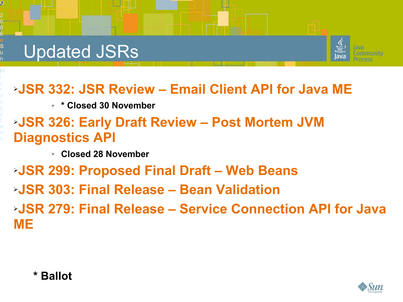**2**C





#### ➢**JSR 332: JSR Review – Email Client API for Java ME**

➢ **\* Closed 30 November**

#### ➢**JSR 326: Early Draft Review – Post Mortem JVM Diagnostics API**

➢ **Closed 28 November**

➢**JSR 299: Proposed Final Draft – Web Beans** ➢**JSR 303: Final Release – Bean Validation** ➢**JSR 279: Final Release – Service Connection API for Java ME**

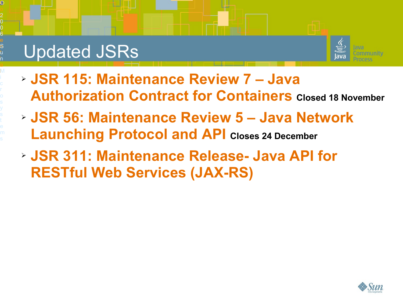### Updated JSRs

**3**C

©<br>020

f i d

0

S t i a

u n

M



- ➢ **JSR 115: Maintenance Review 7 Java Authorization Contract for Containers Closed 18 November**
- ➢ **JSR 56: Maintenance Review 5 Java Network Launching Protocol and API Closes 24 December**
- ➢ **JSR 311: Maintenance Release- Java API for RESTful Web Services (JAX-RS)**

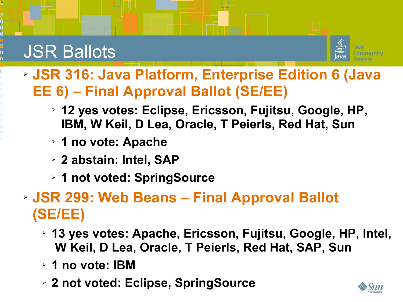**4**C

©<br>020

f i d

0

S t i a

u n

M

6<br>e<br>S



- ➢ **JSR 316: Java Platform, Enterprise Edition 6 (Java EE 6) – Final Approval Ballot (SE/EE)**
	- ➢ **12 yes votes: Eclipse, Ericsson, Fujitsu, Google, HP, IBM, W Keil, D Lea, Oracle, T Peierls, Red Hat, Sun**
	- ➢ **1 no vote: Apache**
	- ➢ **2 abstain: Intel, SAP**
	- ➢ **1 not voted: SpringSource**

### ➢ **JSR 299: Web Beans – Final Approval Ballot (SE/EE)**

- ➢ **13 yes votes: Apache, Ericsson, Fujitsu, Google, HP, Intel, W Keil, D Lea, Oracle, T Peierls, Red Hat, SAP, Sun**
- ➢ **1 no vote: IBM**
- ➢ **2 not voted: Eclipse, SpringSource**

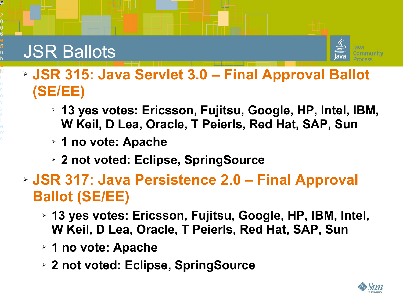**5**C

©<br>020

f i d

0

S t i a

u n

M



- ➢ **13 yes votes: Ericsson, Fujitsu, Google, HP, Intel, IBM, W Keil, D Lea, Oracle, T Peierls, Red Hat, SAP, Sun**
- ➢ **1 no vote: Apache**
- ➢ **2 not voted: Eclipse, SpringSource**
- ➢ **JSR 317: Java Persistence 2.0 Final Approval Ballot (SE/EE)**
	- ➢ **13 yes votes: Ericsson, Fujitsu, Google, HP, IBM, Intel, W Keil, D Lea, Oracle, T Peierls, Red Hat, SAP, Sun**
	- ➢ **1 no vote: Apache**
	- ➢ **2 not voted: Eclipse, SpringSource**

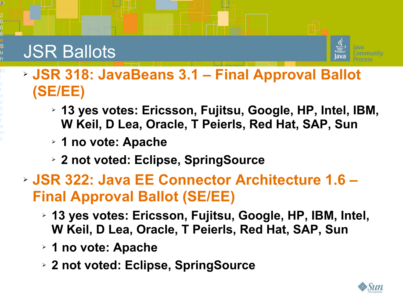

**6**C

©<br>020

f i d

0

S t i a

u n

M

6<br>e<br>S

#### ➢ **JSR 318: JavaBeans 3.1 – Final Approval Ballot (SE/EE)**

- ➢ **13 yes votes: Ericsson, Fujitsu, Google, HP, Intel, IBM, W Keil, D Lea, Oracle, T Peierls, Red Hat, SAP, Sun**
- ➢ **1 no vote: Apache**
- ➢ **2 not voted: Eclipse, SpringSource**
- ➢ **JSR 322: Java EE Connector Architecture 1.6 Final Approval Ballot (SE/EE)**
	- ➢ **13 yes votes: Ericsson, Fujitsu, Google, HP, IBM, Intel, W Keil, D Lea, Oracle, T Peierls, Red Hat, SAP, Sun**
	- ➢ **1 no vote: Apache**
	- ➢ **2 not voted: Eclipse, SpringSource**

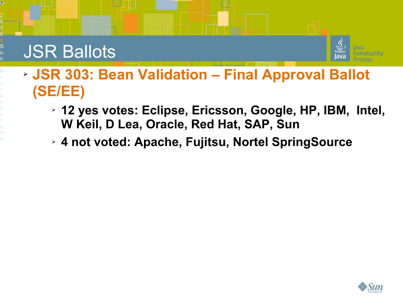**7**C

©<br>020

f i d

0

S t i a

u n

M



- ➢ **JSR 303: Bean Validation Final Approval Ballot (SE/EE)**
	- ➢ **12 yes votes: Eclipse, Ericsson, Google, HP, IBM, Intel, W Keil, D Lea, Oracle, Red Hat, SAP, Sun**
	- ➢ **4 not voted: Apache, Fujitsu, Nortel SpringSource**

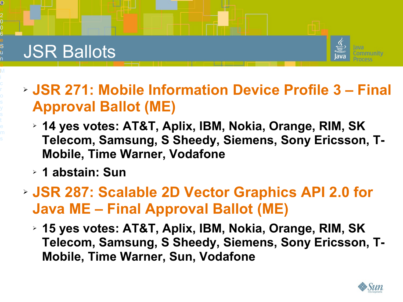**8**C

©<br>020

f i d

0

S t i a

u n

M



- ➢ **JSR 271: Mobile Information Device Profile 3 Final Approval Ballot (ME)**
	- ➢ **14 yes votes: AT&T, Aplix, IBM, Nokia, Orange, RIM, SK Telecom, Samsung, S Sheedy, Siemens, Sony Ericsson, T-Mobile, Time Warner, Vodafone**
	- ➢ **1 abstain: Sun**
- ➢ **JSR 287: Scalable 2D Vector Graphics API 2.0 for Java ME – Final Approval Ballot (ME)**
	- ➢ **15 yes votes: AT&T, Aplix, IBM, Nokia, Orange, RIM, SK Telecom, Samsung, S Sheedy, Siemens, Sony Ericsson, T-Mobile, Time Warner, Sun, Vodafone**

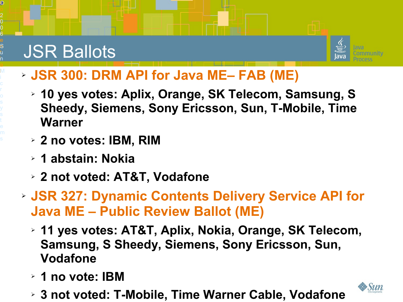**9**C

©<br>20<br>0

f i d

0

S t i a

u n

M

6<br>e<br>S



#### ➢ **JSR 300: DRM API for Java ME– FAB (ME)**

- ➢ **10 yes votes: Aplix, Orange, SK Telecom, Samsung, S Sheedy, Siemens, Sony Ericsson, Sun, T-Mobile, Time Warner**
- ➢ **2 no votes: IBM, RIM**
- ➢ **1 abstain: Nokia**
- ➢ **2 not voted: AT&T, Vodafone**
- ➢ **JSR 327: Dynamic Contents Delivery Service API for Java ME – Public Review Ballot (ME)**
	- ➢ **11 yes votes: AT&T, Aplix, Nokia, Orange, SK Telecom, Samsung, S Sheedy, Siemens, Sony Ericsson, Sun, Vodafone**
	- ➢ **1 no vote: IBM**
	- ➢ **3 not voted: T-Mobile, Time Warner Cable, Vodafone**

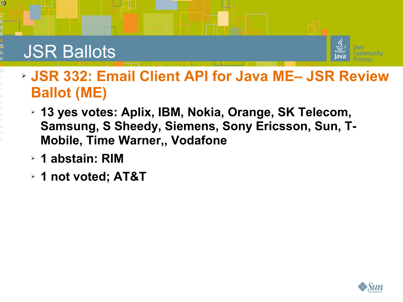**0)** 

©<br>20<br>0

f i d

0

S t i a

u n

M



- ➢ **JSR 332: Email Client API for Java ME– JSR Review Ballot (ME)**
	- ➢ **13 yes votes: Aplix, IBM, Nokia, Orange, SK Telecom, Samsung, S Sheedy, Siemens, Sony Ericsson, Sun, T-Mobile, Time Warner,, Vodafone**
	- ➢ **1 abstain: RIM**
	- ➢ **1 not voted; AT&T**

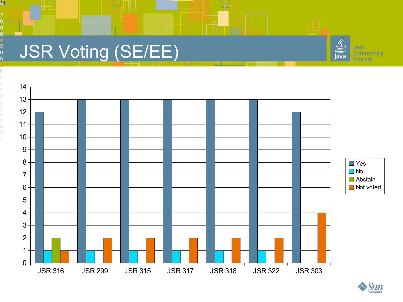### JSR Voting (SE/EE)

**01** 

©<br>20<br>0

f i d

0

S t i a l M

u n

6<br>e<br>S





#### **©** Sun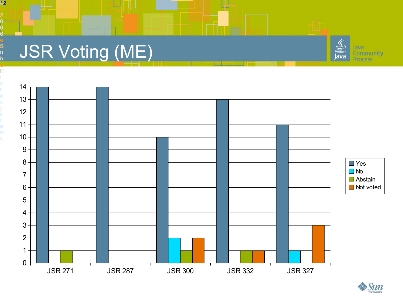### JSR Voting (ME)

**02** 

f i d

0

©<br>20<br>0

S t i a l M

u n





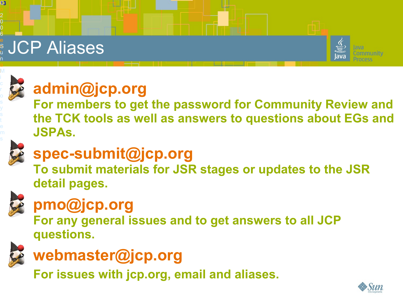## $\stackrel{\scriptscriptstyle \bullet}{\scriptscriptstyle \circ}$  JCP Aliases





**03** 

f i d

0

©<br>20<br>0

S t i a

n

6<br>e<br>S

### **[admin@jcp.org](mailto:admin@jcp.org)**

**For members to get the password for Community Review and the TCK tools as well as answers to questions about EGs and JSPAs.**



### **[spec-submit@jcp.org](mailto:spec-submit@jcp.org)**

**To submit materials for JSR stages or updates to the JSR detail pages.**



### **[pmo@jcp.org](mailto:pmo@jcp.org)**

**For any general issues and to get answers to all JCP questions.**



### **[webmaster@jcp.org](mailto:webmaster@jcp.org)**

**For issues with jcp.org, email and aliases.**

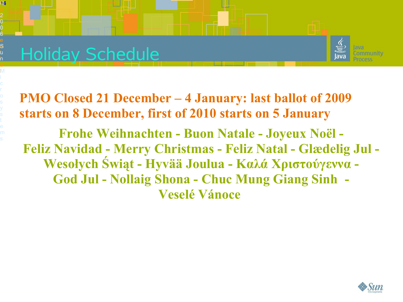### Holiday Schedule

**04** 

f i d

0

©<br>20<br>0

S t i a

u n

M

6<br>e<br>S



**PMO Closed 21 December – 4 January: last ballot of 2009 starts on 8 December, first of 2010 starts on 5 January**

**Frohe Weihnachten - Buon Natale - Joyeux Noël - Feliz Navidad - Merry Christmas - Feliz Natal - Glædelig Jul - Wesołych Świąt - Hyvää Joulua - Καλά Χριστούγεννα - God Jul - Nollaig Shona - Chuc Mung Giang Sinh - Veselé Vánoce**